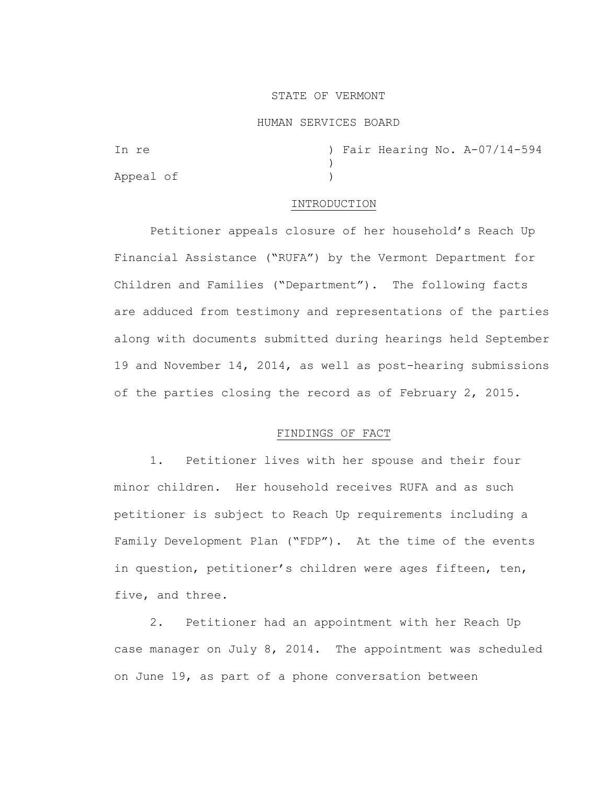### STATE OF VERMONT

#### HUMAN SERVICES BOARD

In re ) Fair Hearing No. A-07/14-594  $\lambda$ Appeal of )

### INTRODUCTION

Petitioner appeals closure of her household's Reach Up Financial Assistance ("RUFA") by the Vermont Department for Children and Families ("Department"). The following facts are adduced from testimony and representations of the parties along with documents submitted during hearings held September 19 and November 14, 2014, as well as post-hearing submissions of the parties closing the record as of February 2, 2015.

## FINDINGS OF FACT

1. Petitioner lives with her spouse and their four minor children. Her household receives RUFA and as such petitioner is subject to Reach Up requirements including a Family Development Plan ("FDP"). At the time of the events in question, petitioner's children were ages fifteen, ten, five, and three.

2. Petitioner had an appointment with her Reach Up case manager on July 8, 2014. The appointment was scheduled on June 19, as part of a phone conversation between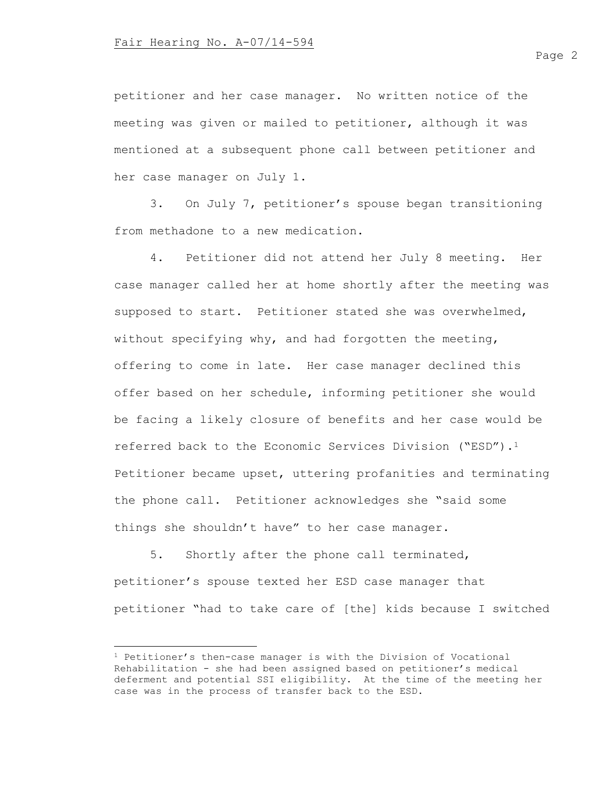petitioner and her case manager. No written notice of the meeting was given or mailed to petitioner, although it was mentioned at a subsequent phone call between petitioner and her case manager on July 1.

3. On July 7, petitioner's spouse began transitioning from methadone to a new medication.

4. Petitioner did not attend her July 8 meeting. Her case manager called her at home shortly after the meeting was supposed to start. Petitioner stated she was overwhelmed, without specifying why, and had forgotten the meeting, offering to come in late. Her case manager declined this offer based on her schedule, informing petitioner she would be facing a likely closure of benefits and her case would be referred back to the Economic Services Division ("ESD").<sup>1</sup> Petitioner became upset, uttering profanities and terminating the phone call. Petitioner acknowledges she "said some things she shouldn't have" to her case manager.

5. Shortly after the phone call terminated, petitioner's spouse texted her ESD case manager that petitioner "had to take care of [the] kids because I switched

<sup>1</sup> Petitioner's then-case manager is with the Division of Vocational Rehabilitation - she had been assigned based on petitioner's medical deferment and potential SSI eligibility. At the time of the meeting her case was in the process of transfer back to the ESD.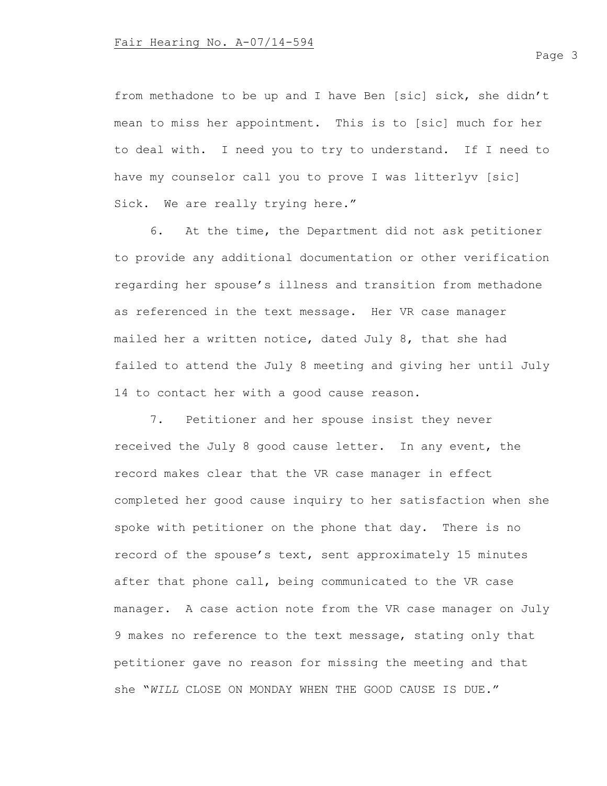from methadone to be up and I have Ben [sic] sick, she didn't mean to miss her appointment. This is to [sic] much for her to deal with. I need you to try to understand. If I need to have my counselor call you to prove I was litterlyv [sic] Sick. We are really trying here."

6. At the time, the Department did not ask petitioner to provide any additional documentation or other verification regarding her spouse's illness and transition from methadone as referenced in the text message. Her VR case manager mailed her a written notice, dated July 8, that she had failed to attend the July 8 meeting and giving her until July 14 to contact her with a good cause reason.

7. Petitioner and her spouse insist they never received the July 8 good cause letter. In any event, the record makes clear that the VR case manager in effect completed her good cause inquiry to her satisfaction when she spoke with petitioner on the phone that day. There is no record of the spouse's text, sent approximately 15 minutes after that phone call, being communicated to the VR case manager. A case action note from the VR case manager on July 9 makes no reference to the text message, stating only that petitioner gave no reason for missing the meeting and that she "*WILL* CLOSE ON MONDAY WHEN THE GOOD CAUSE IS DUE."

Page 3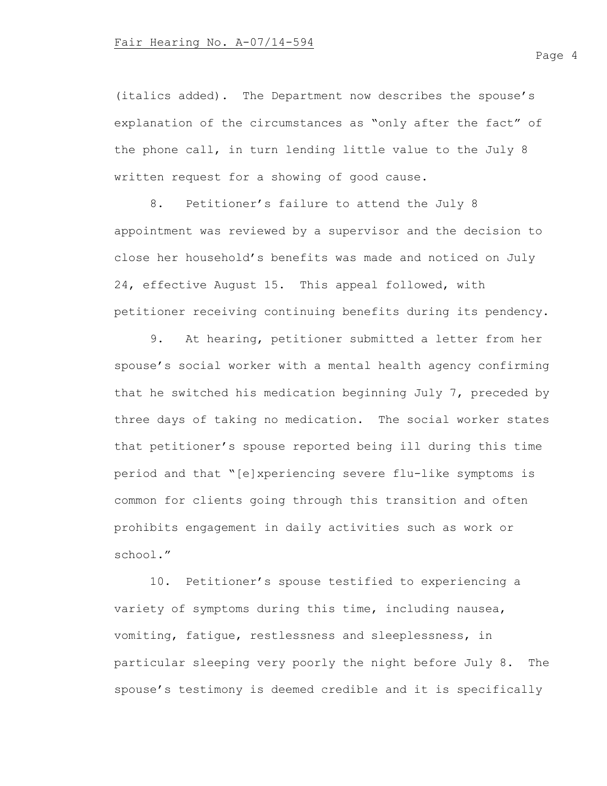(italics added). The Department now describes the spouse's explanation of the circumstances as "only after the fact" of the phone call, in turn lending little value to the July 8 written request for a showing of good cause.

8. Petitioner's failure to attend the July 8 appointment was reviewed by a supervisor and the decision to close her household's benefits was made and noticed on July 24, effective August 15. This appeal followed, with petitioner receiving continuing benefits during its pendency.

9. At hearing, petitioner submitted a letter from her spouse's social worker with a mental health agency confirming that he switched his medication beginning July 7, preceded by three days of taking no medication. The social worker states that petitioner's spouse reported being ill during this time period and that "[e]xperiencing severe flu-like symptoms is common for clients going through this transition and often prohibits engagement in daily activities such as work or school."

10. Petitioner's spouse testified to experiencing a variety of symptoms during this time, including nausea, vomiting, fatigue, restlessness and sleeplessness, in particular sleeping very poorly the night before July 8. The spouse's testimony is deemed credible and it is specifically

Page 4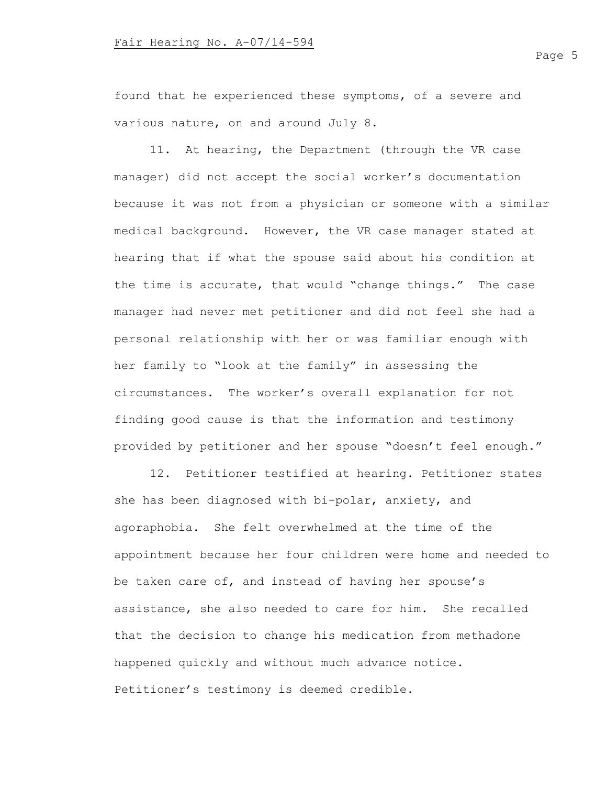found that he experienced these symptoms, of a severe and various nature, on and around July 8.

11. At hearing, the Department (through the VR case manager) did not accept the social worker's documentation because it was not from a physician or someone with a similar medical background. However, the VR case manager stated at hearing that if what the spouse said about his condition at the time is accurate, that would "change things." The case manager had never met petitioner and did not feel she had a personal relationship with her or was familiar enough with her family to "look at the family" in assessing the circumstances. The worker's overall explanation for not finding good cause is that the information and testimony provided by petitioner and her spouse "doesn't feel enough."

12. Petitioner testified at hearing. Petitioner states she has been diagnosed with bi-polar, anxiety, and agoraphobia. She felt overwhelmed at the time of the appointment because her four children were home and needed to be taken care of, and instead of having her spouse's assistance, she also needed to care for him. She recalled that the decision to change his medication from methadone happened quickly and without much advance notice. Petitioner's testimony is deemed credible.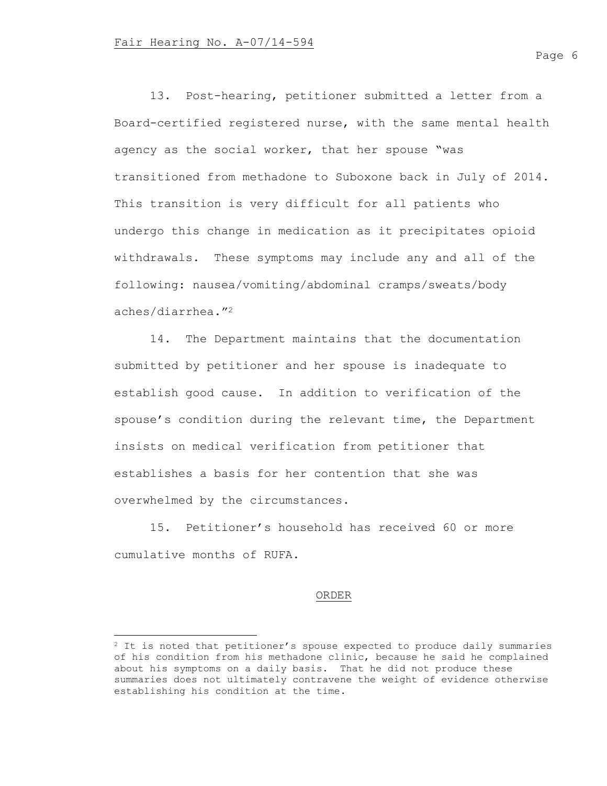13. Post-hearing, petitioner submitted a letter from a Board-certified registered nurse, with the same mental health agency as the social worker, that her spouse "was transitioned from methadone to Suboxone back in July of 2014. This transition is very difficult for all patients who undergo this change in medication as it precipitates opioid withdrawals. These symptoms may include any and all of the following: nausea/vomiting/abdominal cramps/sweats/body aches/diarrhea."<sup>2</sup>

14. The Department maintains that the documentation submitted by petitioner and her spouse is inadequate to establish good cause. In addition to verification of the spouse's condition during the relevant time, the Department insists on medical verification from petitioner that establishes a basis for her contention that she was overwhelmed by the circumstances.

15. Petitioner's household has received 60 or more cumulative months of RUFA.

### ORDER

<sup>&</sup>lt;sup>2</sup> It is noted that petitioner's spouse expected to produce daily summaries of his condition from his methadone clinic, because he said he complained about his symptoms on a daily basis. That he did not produce these summaries does not ultimately contravene the weight of evidence otherwise establishing his condition at the time.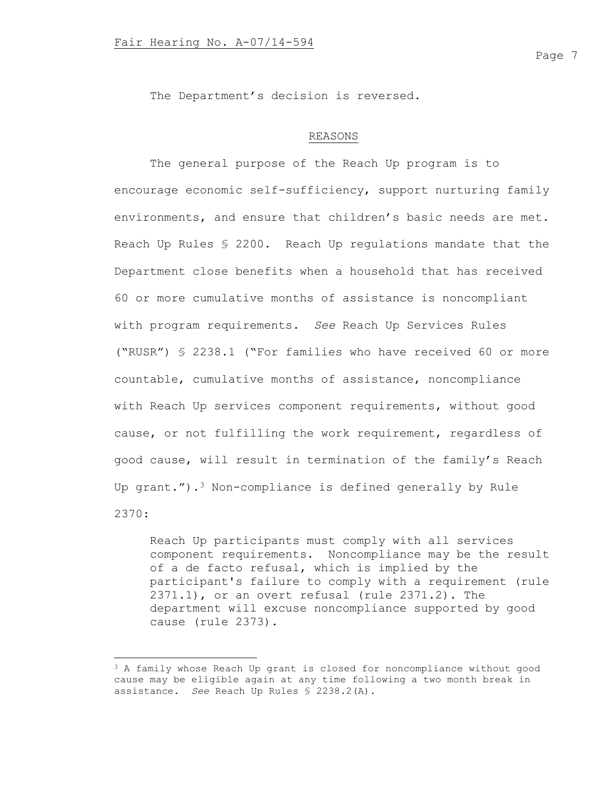The Department's decision is reversed.

# REASONS

The general purpose of the Reach Up program is to encourage economic self-sufficiency, support nurturing family environments, and ensure that children's basic needs are met. Reach Up Rules § 2200. Reach Up regulations mandate that the Department close benefits when a household that has received 60 or more cumulative months of assistance is noncompliant with program requirements. *See* Reach Up Services Rules ("RUSR") § 2238.1 ("For families who have received 60 or more countable, cumulative months of assistance, noncompliance with Reach Up services component requirements, without good cause, or not fulfilling the work requirement, regardless of good cause, will result in termination of the family's Reach Up grant.").<sup>3</sup> Non-compliance is defined generally by Rule 2370:

Reach Up participants must comply with all services component requirements. Noncompliance may be the result of a de facto refusal, which is implied by the participant's failure to comply with a requirement (rule 2371.1), or an overt refusal (rule 2371.2). The department will excuse noncompliance supported by good cause (rule 2373).

<sup>&</sup>lt;sup>3</sup> A family whose Reach Up grant is closed for noncompliance without good cause may be eligible again at any time following a two month break in assistance. *See* Reach Up Rules § 2238.2(A).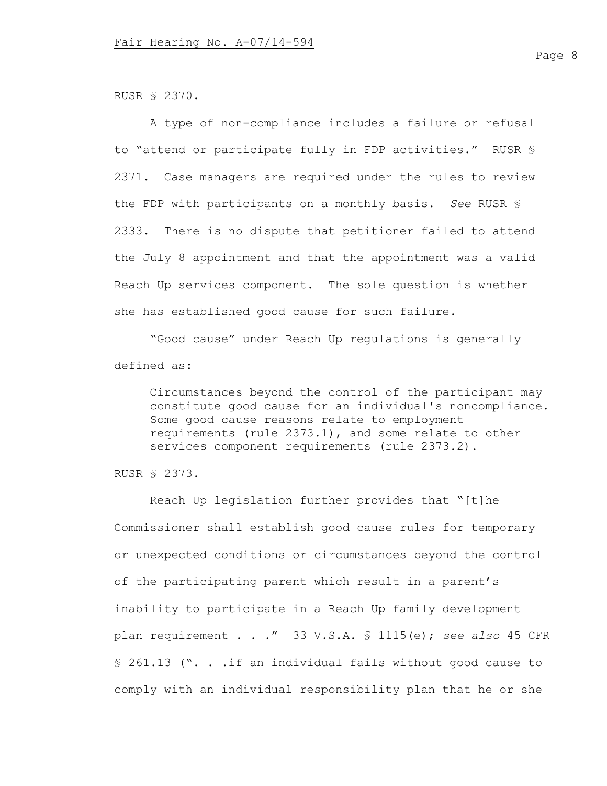RUSR § 2370.

A type of non-compliance includes a failure or refusal to "attend or participate fully in FDP activities." RUSR § 2371. Case managers are required under the rules to review the FDP with participants on a monthly basis. *See* RUSR § 2333. There is no dispute that petitioner failed to attend the July 8 appointment and that the appointment was a valid Reach Up services component. The sole question is whether she has established good cause for such failure.

"Good cause" under Reach Up regulations is generally defined as:

Circumstances beyond the control of the participant may constitute good cause for an individual's noncompliance. Some good cause reasons relate to employment requirements (rule 2373.1), and some relate to other services component requirements (rule 2373.2).

RUSR § 2373.

Reach Up legislation further provides that "[t]he Commissioner shall establish good cause rules for temporary or unexpected conditions or circumstances beyond the control of the participating parent which result in a parent's inability to participate in a Reach Up family development plan requirement . . ." 33 V.S.A. § 1115(e); *see also* 45 CFR § 261.13 (". . .if an individual fails without good cause to comply with an individual responsibility plan that he or she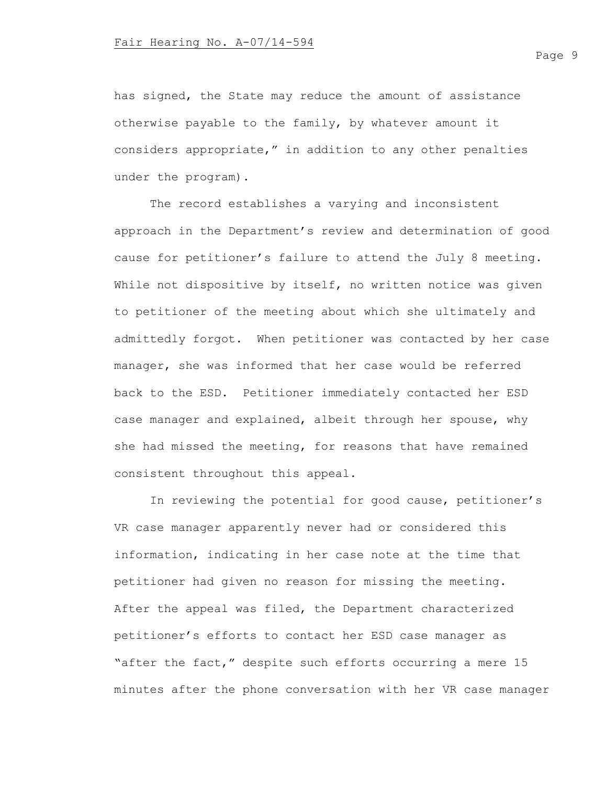has signed, the State may reduce the amount of assistance otherwise payable to the family, by whatever amount it considers appropriate," in addition to any other penalties under the program).

The record establishes a varying and inconsistent approach in the Department's review and determination of good cause for petitioner's failure to attend the July 8 meeting. While not dispositive by itself, no written notice was given to petitioner of the meeting about which she ultimately and admittedly forgot. When petitioner was contacted by her case manager, she was informed that her case would be referred back to the ESD. Petitioner immediately contacted her ESD case manager and explained, albeit through her spouse, why she had missed the meeting, for reasons that have remained consistent throughout this appeal.

In reviewing the potential for good cause, petitioner's VR case manager apparently never had or considered this information, indicating in her case note at the time that petitioner had given no reason for missing the meeting. After the appeal was filed, the Department characterized petitioner's efforts to contact her ESD case manager as "after the fact," despite such efforts occurring a mere 15 minutes after the phone conversation with her VR case manager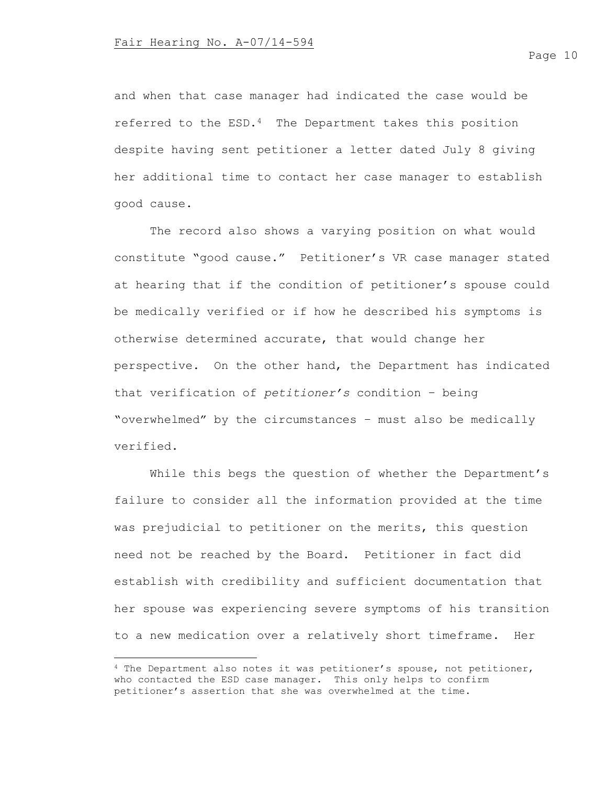and when that case manager had indicated the case would be referred to the ESD.4 The Department takes this position despite having sent petitioner a letter dated July 8 giving her additional time to contact her case manager to establish good cause.

The record also shows a varying position on what would constitute "good cause." Petitioner's VR case manager stated at hearing that if the condition of petitioner's spouse could be medically verified or if how he described his symptoms is otherwise determined accurate, that would change her perspective. On the other hand, the Department has indicated that verification of *petitioner's* condition – being "overwhelmed" by the circumstances – must also be medically verified.

While this begs the question of whether the Department's failure to consider all the information provided at the time was prejudicial to petitioner on the merits, this question need not be reached by the Board. Petitioner in fact did establish with credibility and sufficient documentation that her spouse was experiencing severe symptoms of his transition to a new medication over a relatively short timeframe. Her

<sup>4</sup> The Department also notes it was petitioner's spouse, not petitioner, who contacted the ESD case manager. This only helps to confirm petitioner's assertion that she was overwhelmed at the time.